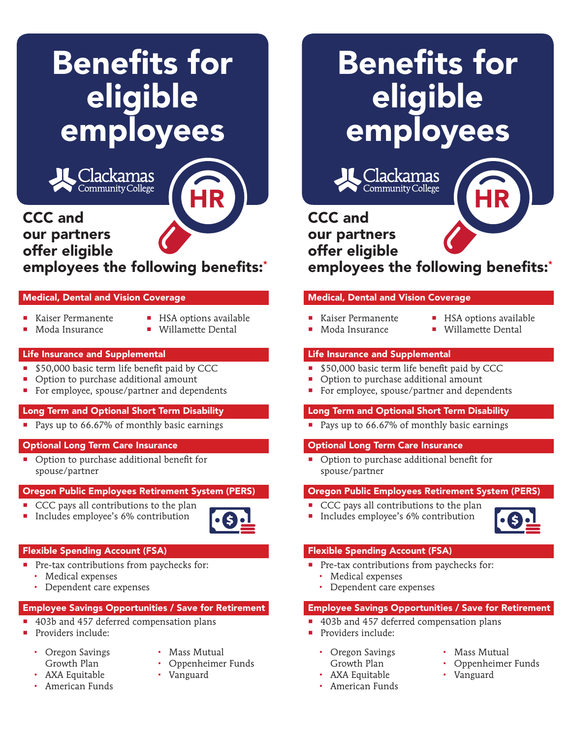# Benefits for eligible employees



# CCC and our partners offer eligible employees the following benefits:\* HR

#### Medical, Dental and Vision Coverage

- Kaiser Permanente
- **HSA** options available
- Moda Insurance
- **Willamette Dental**

#### Life Insurance and Supplemental

- **550,000 basic term life benefit paid by CCC**
- Option to purchase additional amount
- For employee, spouse/partner and dependents

#### Long Term and Optional Short Term Disability

Pays up to 66.67% of monthly basic earnings

# Optional Long Term Care Insurance

■ Option to purchase additional benefit for spouse/partner

# Oregon Public Employees Retirement System (PERS)

- CCC pays all contributions to the plan
- Includes employee's 6% contribution



# Flexible Spending Account (FSA)

- **Pre-tax contributions from paychecks for:** 
	- Medical expenses
	- Dependent care expenses

# Employee Savings Opportunities / Save for Retirement

- 403b and 457 deferred compensation plans
- **Providers include:** 
	- Oregon Savings Growth Plan
- Mass Mutual
- Oppenheimer Funds
- AXA Equitable American Funds
- 
- Vanguard

# Benefits for eligible employees

<u> Clackamas</u> Community College

# CCC and our partners offer eligible employees the following benefits:\* HR

# Medical, Dental and Vision Coverage

- Kaiser Permanente Moda Insurance
- **HSA** options available
- **Willamette Dental**

# Life Insurance and Supplemental

- \$50,000 basic term life benefit paid by CCC
- Option to purchase additional amount
- For employee, spouse/partner and dependents

# Long Term and Optional Short Term Disability

Pays up to 66.67% of monthly basic earnings

# Optional Long Term Care Insurance

• Option to purchase additional benefit for spouse/partner

# Oregon Public Employees Retirement System (PERS)

- CCC pays all contributions to the plan
- **Includes employee's 6% contribution**



# Flexible Spending Account (FSA)

- **Pre-tax contributions from paychecks for:** 
	- Medical expenses
	- Dependent care expenses

# Employee Savings Opportunities / Save for Retirement

- 403b and 457 deferred compensation plans
- Providers include:
	- Oregon Savings Growth Plan
	- AXA Equitable
	- American Funds
- Mass Mutual
- Oppenheimer Funds
- Vanguard